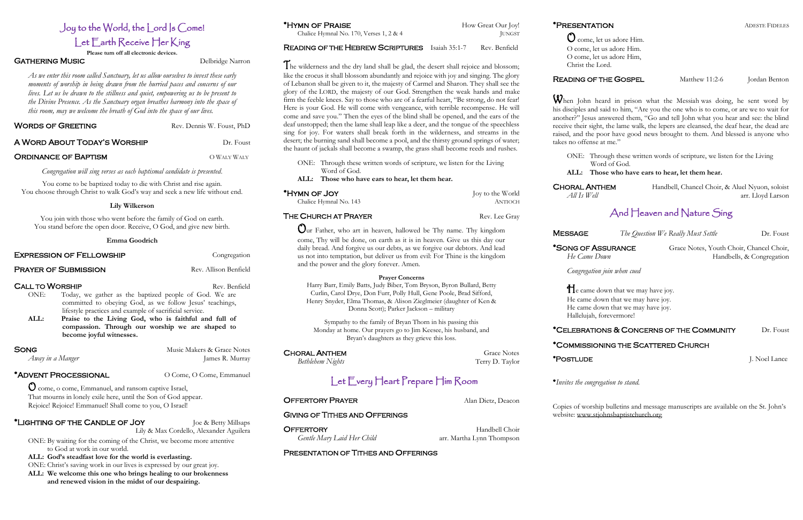# Joy to the World, the Lord Is Come! Let Earth Receive Her King

**Please turn off all electronic devices.**

### GATHERING MUSIC Delbridge Narron

*As we enter this room called Sanctuary, let us allow ourselves to invest these early moments of worship in being drawn from the hurried paces and concerns of our lives. Let us be drawn to the stillness and quiet, empowering us to be present to the Divine Presence. As the Sanctuary organ breathes harmony into the space of this room, may we welcome the breath of God into the space of our lives.*

### WORDS OF GREETING Rev. Dennis W. Foust, PhD

### **A WORD ABOUT TODAY'S WORSHIP THE READY CONTROLLY** Dr. Foust

### ORDINANCE OF BAPTISM CONNECTION ON WALY WALY

*Congregation will sing verses as each baptismal candidate is presented.*

You come to be baptized today to die with Christ and rise again. You choose through Christ to walk God's way and seek a new life without end.

### **Lily Wilkerson**

You join with those who went before the family of God on earth. You stand before the open door. Receive, O God, and give new birth.

### **Emma Goodrich**

### **EXPRESSION OF FELLOWSHIP** Congregation

### **PRAYER OF SUBMISSION** Rev. Allison Benfield

### **CALL TO WORSHIP Rev. Benfield**

- ONE: Today, we gather as the baptized people of God. We are committed to obeying God, as we follow Jesus' teachings, lifestyle practices and example of sacrificial service.
- **ALL: Praise to the Living God, who is faithful and full of compassion. Through our worship we are shaped to become joyful witnesses.**

### SONG Music Makers & Grace Notes

*Away in a Manger* James R. Murray

### \*ADVENT PROCESSIONAL  $O$  Come, O Come, Emmanuel

O come, o come, Emmanuel, and ransom captive Israel, That mourns in lonely exile here, until the Son of God appear. Rejoice! Rejoice! Emmanuel! Shall come to you, O Israel!

### \*Lighting of the Candle of Joy Joe & Betty Millsaps

Lily & Max Cordello, Alexander Aguilera

ONE: By waiting for the coming of the Christ, we become more attentive to God at work in our world.

**ALL: God's steadfast love for the world is everlasting.**

ONE: Christ's saving work in our lives is expressed by our great joy.

**ALL: We welcome this one who brings healing to our brokenness and renewed vision in the midst of our despairing.** 

### \*HYMN OF PRAISE How Great Our Joy!

Chalice Hymnal No. 170, Verses  $1, 2 \& 4$  JUNGST

## READING OF THE HEBREW SCRIPTURES Isaiah 35:1-7 Rev. Benfield

**CHORAL ANTHEM** Grace Notes *Bethlehem Nights* Terry D. Taylor

**OFFERTORY PRAYER** Alan Dietz, Deacon

OFFERTORY Handbell Choir *Gentle Mary Laid Her Child* arr. Martha Lynn Thompson

When John heard in prison what the Messiah was doing, he sent word by his disciples and said to him, "Are you the one who is to come, or are we to wait for another?" Jesus answered them, "Go and tell John what you hear and see: the blind receive their sight, the lame walk, the lepers are cleansed, the deaf hear, the dead are raised, and the poor have good news brought to them. And blessed is anyone who takes no offense at me."

### The wilderness and the dry land shall be glad, the desert shall rejoice and blossom; like the crocus it shall blossom abundantly and rejoice with joy and singing. The glory of Lebanon shall be given to it, the majesty of Carmel and Sharon. They shall see the glory of the LORD, the majesty of our God. Strengthen the weak hands and make firm the feeble knees. Say to those who are of a fearful heart, "Be strong, do not fear! Here is your God. He will come with vengeance, with terrible recompense. He will come and save you." Then the eyes of the blind shall be opened, and the ears of the deaf unstopped; then the lame shall leap like a deer, and the tongue of the speechless sing for joy. For waters shall break forth in the wilderness, and streams in the desert; the burning sand shall become a pool, and the thirsty ground springs of water; the haunt of jackals shall become a swamp, the grass shall become reeds and rushes.

**He** came down that we may have joy. He came down that we may have joy. He came down that we may have joy. Hallelujah, forevermore!

### \*CELEBRATIONS & CONCERNS OF THE COMMUNITY Dr. Foust

- ONE: Through these written words of scripture, we listen for the Living Word of God.
- **ALL: Those who have ears to hear, let them hear.**

| *HYMN OF JOY           | Joy to the World |
|------------------------|------------------|
| Chalice Hymnal No. 143 | ANTIOCH          |

Our Father, who art in heaven, hallowed be Thy name. Thy kingdom come, Thy will be done, on earth as it is in heaven. Give us this day our daily bread. And forgive us our debts, as we forgive our debtors. And lead us not into temptation, but deliver us from evil: For Thine is the kingdom

and the power and the glory forever. Amen.

**Prayer Concerns** Harry Barr, Emily Batts, Judy Biber, Tom Bryson, Byron Bullard, Betty Curlin, Carol Drye, Don Furr, Polly Hull, Gene Poole, Brad Sifford, Henry Snyder, Elma Thomas, & Alison Zieglmeier (daughter of Ken & Donna Scott); Parker Jackson – military

Sympathy to the family of Bryan Thorn in his passing this Monday at home. Our prayers go to Jim Keesee, his husband, and Bryan's daughters as they grieve this loss.

Let Every Heart Prepare Him Room

### THE CHURCH AT PRAYER Rev. Lee Gray

GIVING OF TITHES AND OFFERINGS

### PRESENTATION OF TITHES AND OFFERINGS

# READING OF THE GOSPEL Matthew 11:2-6 Jordan Benton

Ocome, let us adore Him. O come, let us adore Him. O come, let us adore Him, Christ the Lord.

ONE: Through these written words of scripture, we listen for the Living Word of God.

*He Came Down* **Handbells**, & Congregation

### **ALL: Those who have ears to hear, let them hear.**

CHORAL ANTHEM Handbell, Chancel Choir, & Aluel Nyuon, soloist *All Is Well* arr. Lloyd Larson

# And Heaven and Nature Sing

MESSAGE *The Question We Really Must Settle* Dr. Foust

\*SONG OF ASSURANCE Grace Notes, Youth Choir, Chancel Choir,

*Congregation join when cued*

### \*COMMISSIONING THE SCATTERED CHURCH

\*POSTLUDE J. Noel Lance

\**Invites the congregation to stand.*

Copies of worship bulletins and message manuscripts are available on the St. John's website: [www.stjohnsbaptistchurch.org](http://www.stjohnsbaptistchurch.org/)